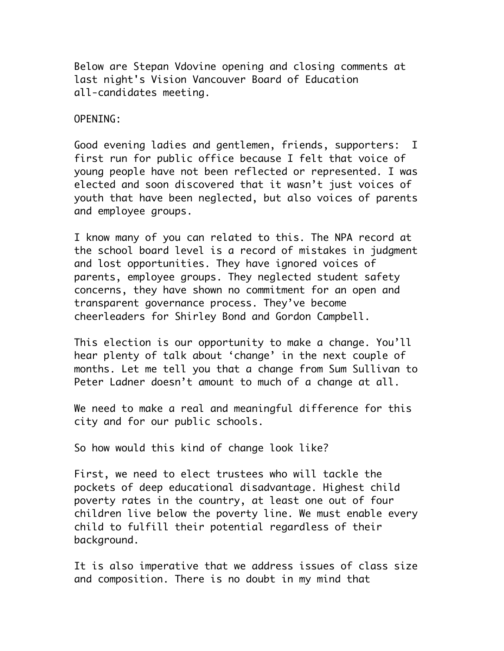Below are Stepan Vdovine opening and closing comments at last night's Vision Vancouver Board of Education all-candidates meeting.

OPENING:

Good evening ladies and gentlemen, friends, supporters: I first run for public office because I felt that voice of young people have not been reflected or represented. I was elected and soon discovered that it wasn't just voices of youth that have been neglected, but also voices of parents and employee groups.

I know many of you can related to this. The NPA record at the school board level is a record of mistakes in judgment and lost opportunities. They have ignored voices of parents, employee groups. They neglected student safety concerns, they have shown no commitment for an open and transparent governance process. They've become cheerleaders for Shirley Bond and Gordon Campbell.

This election is our opportunity to make a change. You'll hear plenty of talk about 'change' in the next couple of months. Let me tell you that a change from Sum Sullivan to Peter Ladner doesn't amount to much of a change at all.

We need to make a real and meaningful difference for this city and for our public schools.

So how would this kind of change look like?

First, we need to elect trustees who will tackle the pockets of deep educational disadvantage. Highest child poverty rates in the country, at least one out of four children live below the poverty line. We must enable every child to fulfill their potential regardless of their background.

It is also imperative that we address issues of class size and composition. There is no doubt in my mind that